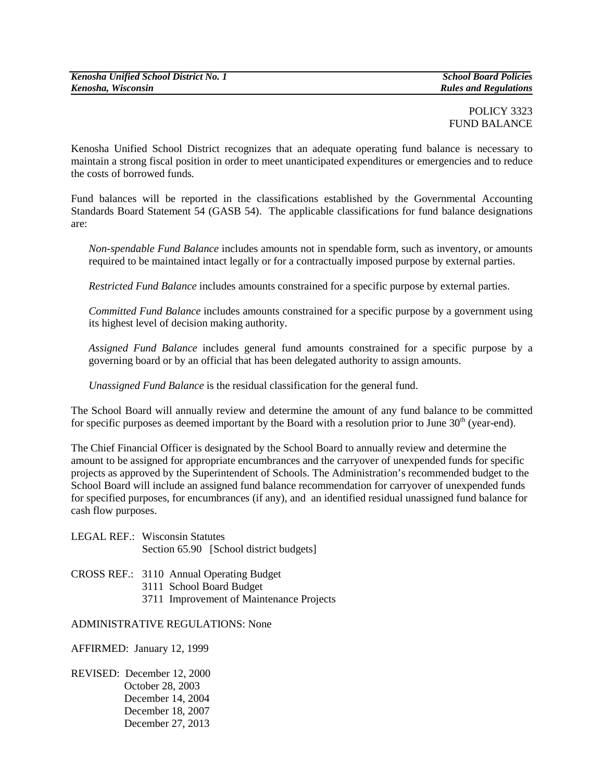## POLICY 3323 FUND BALANCE

Kenosha Unified School District recognizes that an adequate operating fund balance is necessary to maintain a strong fiscal position in order to meet unanticipated expenditures or emergencies and to reduce the costs of borrowed funds.

Fund balances will be reported in the classifications established by the Governmental Accounting Standards Board Statement 54 (GASB 54). The applicable classifications for fund balance designations are:

*Non-spendable Fund Balance* includes amounts not in spendable form, such as inventory, or amounts required to be maintained intact legally or for a contractually imposed purpose by external parties.

*Restricted Fund Balance* includes amounts constrained for a specific purpose by external parties.

*Committed Fund Balance* includes amounts constrained for a specific purpose by a government using its highest level of decision making authority.

*Assigned Fund Balance* includes general fund amounts constrained for a specific purpose by a governing board or by an official that has been delegated authority to assign amounts.

*Unassigned Fund Balance* is the residual classification for the general fund.

The School Board will annually review and determine the amount of any fund balance to be committed for specific purposes as deemed important by the Board with a resolution prior to June  $30<sup>th</sup>$  (year-end).

The Chief Financial Officer is designated by the School Board to annually review and determine the amount to be assigned for appropriate encumbrances and the carryover of unexpended funds for specific projects as approved by the Superintendent of Schools. The Administration's recommended budget to the School Board will include an assigned fund balance recommendation for carryover of unexpended funds for specified purposes, for encumbrances (if any), and an identified residual unassigned fund balance for cash flow purposes.

| <b>LEGAL REF.: Wisconsin Statutes</b> |                                         |
|---------------------------------------|-----------------------------------------|
|                                       | Section 65.90 [School district budgets] |

CROSS REF.: 3110 Annual Operating Budget 3111 School Board Budget 3711 Improvement of Maintenance Projects

## ADMINISTRATIVE REGULATIONS: None

AFFIRMED: January 12, 1999

REVISED: December 12, 2000 October 28, 2003 December 14, 2004 December 18, 2007 December 27, 2013